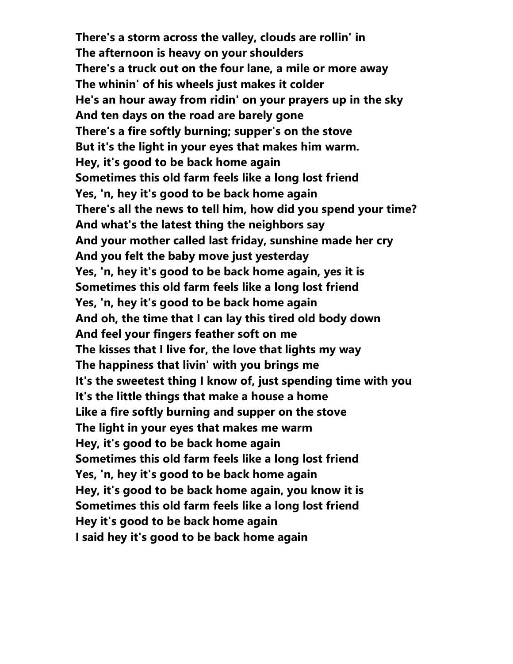**There's a storm across the valley, clouds are rollin' in The afternoon is heavy on your shoulders There's a truck out on the four lane, a mile or more away The whinin' of his wheels just makes it colder He's an hour away from ridin' on your prayers up in the sky And ten days on the road are barely gone There's a fire softly burning; supper's on the stove But it's the light in your eyes that makes him warm. Hey, it's good to be back home again Sometimes this old farm feels like a long lost friend Yes, 'n, hey it's good to be back home again There's all the news to tell him, how did you spend your time? And what's the latest thing the neighbors say And your mother called last friday, sunshine made her cry And you felt the baby move just yesterday Yes, 'n, hey it's good to be back home again, yes it is Sometimes this old farm feels like a long lost friend Yes, 'n, hey it's good to be back home again And oh, the time that I can lay this tired old body down And feel your fingers feather soft on me The kisses that I live for, the love that lights my way The happiness that livin' with you brings me It's the sweetest thing I know of, just spending time with you It's the little things that make a house a home Like a fire softly burning and supper on the stove The light in your eyes that makes me warm Hey, it's good to be back home again Sometimes this old farm feels like a long lost friend Yes, 'n, hey it's good to be back home again Hey, it's good to be back home again, you know it is Sometimes this old farm feels like a long lost friend Hey it's good to be back home again I said hey it's good to be back home again**